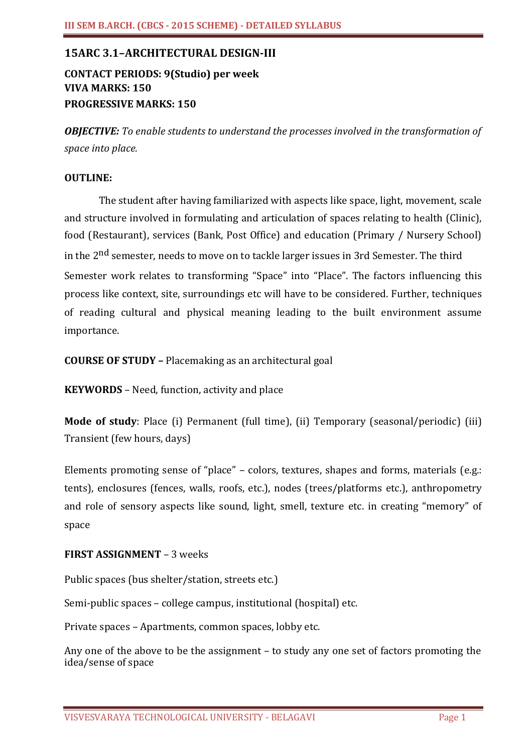# **15ARC 3.1–ARCHITECTURAL DESIGN-III**

# **CONTACT PERIODS: 9(Studio) per week VIVA MARKS: 150 PROGRESSIVE MARKS: 150**

*OBJECTIVE: To enable students to understand the processes involved in the transformation of space into place.*

## **OUTLINE:**

The student after having familiarized with aspects like space, light, movement, scale and structure involved in formulating and articulation of spaces relating to health (Clinic), food (Restaurant), services (Bank, Post Office) and education (Primary / Nursery School) in the 2<sup>nd</sup> semester, needs to move on to tackle larger issues in 3rd Semester. The third Semester work relates to transforming "Space" into "Place". The factors influencing this process like context, site, surroundings etc will have to be considered. Further, techniques of reading cultural and physical meaning leading to the built environment assume importance.

**COURSE OF STUDY –** Placemaking as an architectural goal

**KEYWORDS** – Need, function, activity and place

**Mode of study**: Place (i) Permanent (full time), (ii) Temporary (seasonal/periodic) (iii) Transient (few hours, days)

Elements promoting sense of "place" – colors, textures, shapes and forms, materials (e.g.: tents), enclosures (fences, walls, roofs, etc.), nodes (trees/platforms etc.), anthropometry and role of sensory aspects like sound, light, smell, texture etc. in creating "memory" of space

## **FIRST ASSIGNMENT** – 3 weeks

Public spaces (bus shelter/station, streets etc.)

Semi-public spaces – college campus, institutional (hospital) etc.

Private spaces – Apartments, common spaces, lobby etc.

Any one of the above to be the assignment – to study any one set of factors promoting the idea/sense of space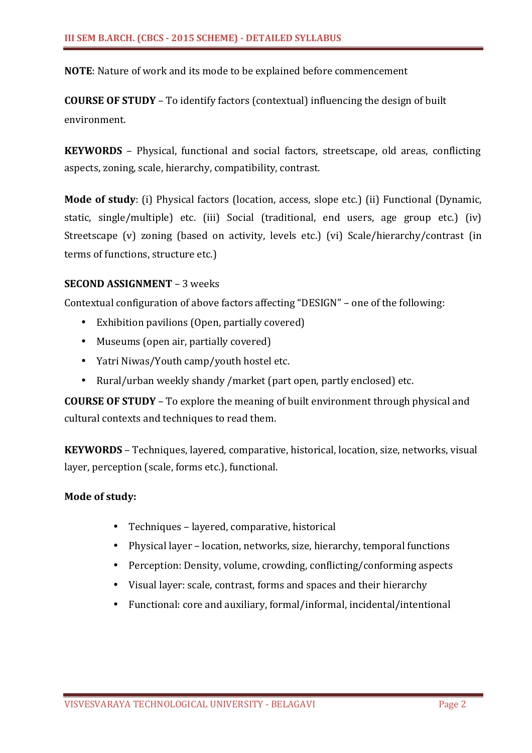**NOTE**: Nature of work and its mode to be explained before commencement

**COURSE OF STUDY** – To identify factors (contextual) influencing the design of built environment.

**KEYWORDS** – Physical, functional and social factors, streetscape, old areas, conflicting aspects, zoning, scale, hierarchy, compatibility, contrast.

**Mode of study**: (i) Physical factors (location, access, slope etc.) (ii) Functional (Dynamic, static, single/multiple) etc. (iii) Social (traditional, end users, age group etc.) (iv) Streetscape (v) zoning (based on activity, levels etc.) (vi) Scale/hierarchy/contrast (in terms of functions, structure etc.)

# **SECOND ASSIGNMENT** – 3 weeks

Contextual configuration of above factors affecting "DESIGN" – one of the following:

- Exhibition pavilions (Open, partially covered)
- Museums (open air, partially covered)
- Yatri Niwas/Youth camp/youth hostel etc.
- Rural/urban weekly shandy /market (part open, partly enclosed) etc.

**COURSE OF STUDY** – To explore the meaning of built environment through physical and cultural contexts and techniques to read them.

**KEYWORDS** – Techniques, layered, comparative, historical, location, size, networks, visual layer, perception (scale, forms etc.), functional.

## **Mode of study:**

- Techniques layered, comparative, historical
- Physical layer location, networks, size, hierarchy, temporal functions
- Perception: Density, volume, crowding, conflicting/conforming aspects
- Visual layer: scale, contrast, forms and spaces and their hierarchy
- Functional: core and auxiliary, formal/informal, incidental/intentional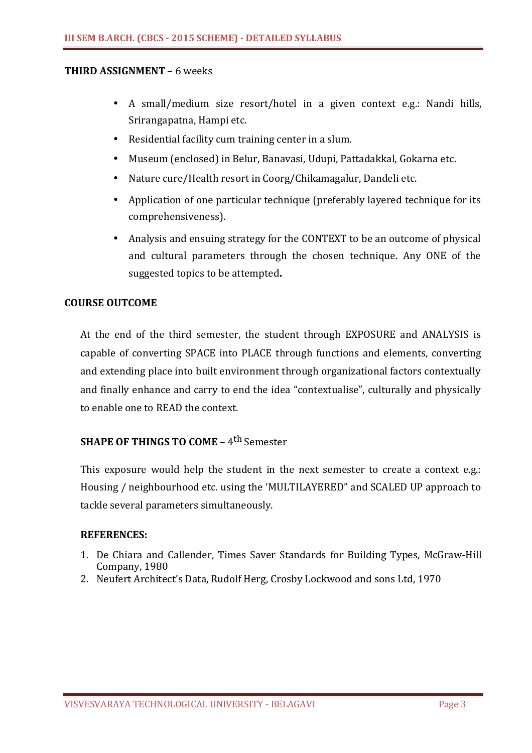## **THIRD ASSIGNMENT** – 6 weeks

- A small/medium size resort/hotel in a given context e.g.: Nandi hills, Srirangapatna, Hampi etc.
- Residential facility cum training center in a slum.
- Museum (enclosed) in Belur, Banavasi, Udupi, Pattadakkal, Gokarna etc.
- Nature cure/Health resort in Coorg/Chikamagalur, Dandeli etc.
- Application of one particular technique (preferably layered technique for its comprehensiveness).
- Analysis and ensuing strategy for the CONTEXT to be an outcome of physical and cultural parameters through the chosen technique. Any ONE of the suggested topics to be attempted**.**

# **COURSE OUTCOME**

At the end of the third semester, the student through EXPOSURE and ANALYSIS is capable of converting SPACE into PLACE through functions and elements, converting and extending place into built environment through organizational factors contextually and finally enhance and carry to end the idea "contextualise", culturally and physically to enable one to READ the context.

# **SHAPE OF THINGS TO COME – 4<sup>th</sup> Semester**

This exposure would help the student in the next semester to create a context e.g.: Housing / neighbourhood etc. using the 'MULTILAYERED" and SCALED UP approach to tackle several parameters simultaneously.

- 1. De Chiara and Callender, Times Saver Standards for Building Types, McGraw-Hill Company, 1980
- 2. Neufert Architect's Data, Rudolf Herg, Crosby Lockwood and sons Ltd, 1970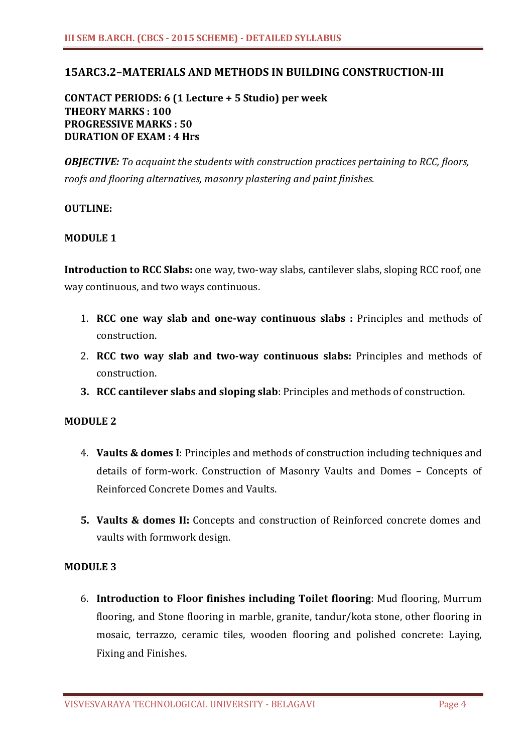# **15ARC3.2–MATERIALS AND METHODS IN BUILDING CONSTRUCTION-III**

# **CONTACT PERIODS: 6 (1 Lecture + 5 Studio) per week THEORY MARKS : 100 PROGRESSIVE MARKS : 50 DURATION OF EXAM : 4 Hrs**

*OBJECTIVE: To acquaint the students with construction practices pertaining to RCC, floors, roofs and flooring alternatives, masonry plastering and paint finishes.*

### **OUTLINE:**

### **MODULE 1**

**Introduction to RCC Slabs:** one way, two-way slabs, cantilever slabs, sloping RCC roof, one way continuous, and two ways continuous.

- 1. **RCC one way slab and one-way continuous slabs :** Principles and methods of construction.
- 2. **RCC two way slab and two-way continuous slabs:** Principles and methods of construction.
- **3. RCC cantilever slabs and sloping slab**: Principles and methods of construction.

### **MODULE 2**

- 4. **Vaults & domes I**: Principles and methods of construction including techniques and details of form-work. Construction of Masonry Vaults and Domes – Concepts of Reinforced Concrete Domes and Vaults.
- **5. Vaults & domes II:** Concepts and construction of Reinforced concrete domes and vaults with formwork design.

## **MODULE 3**

6. **Introduction to Floor finishes including Toilet flooring**: Mud flooring, Murrum flooring, and Stone flooring in marble, granite, tandur/kota stone, other flooring in mosaic, terrazzo, ceramic tiles, wooden flooring and polished concrete: Laying, Fixing and Finishes.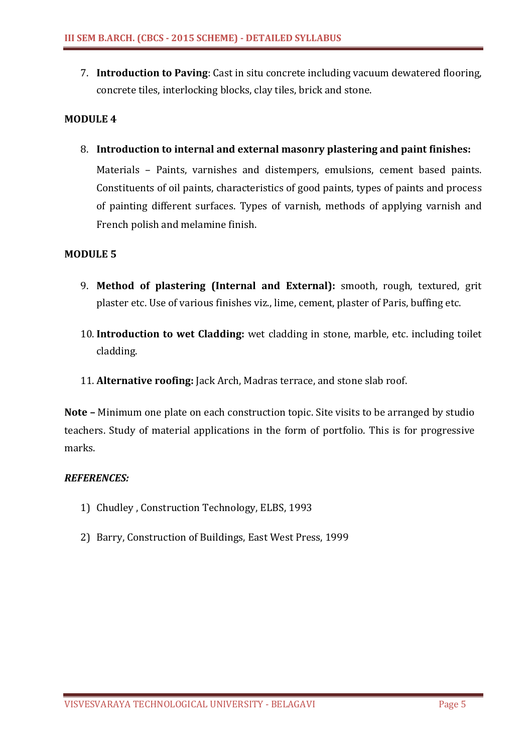7. **Introduction to Paving**: Cast in situ concrete including vacuum dewatered flooring, concrete tiles, interlocking blocks, clay tiles, brick and stone.

### **MODULE 4**

8. **Introduction to internal and external masonry plastering and paint finishes:**  Materials – Paints, varnishes and distempers, emulsions, cement based paints. Constituents of oil paints, characteristics of good paints, types of paints and process of painting different surfaces. Types of varnish, methods of applying varnish and French polish and melamine finish.

### **MODULE 5**

- 9. **Method of plastering (Internal and External):** smooth, rough, textured, grit plaster etc. Use of various finishes viz., lime, cement, plaster of Paris, buffing etc.
- 10. **Introduction to wet Cladding:** wet cladding in stone, marble, etc. including toilet cladding.
- 11. **Alternative roofing:** Jack Arch, Madras terrace, and stone slab roof.

**Note –** Minimum one plate on each construction topic. Site visits to be arranged by studio teachers. Study of material applications in the form of portfolio. This is for progressive marks.

- 1) Chudley , Construction Technology, ELBS, 1993
- 2) Barry, Construction of Buildings, East West Press, 1999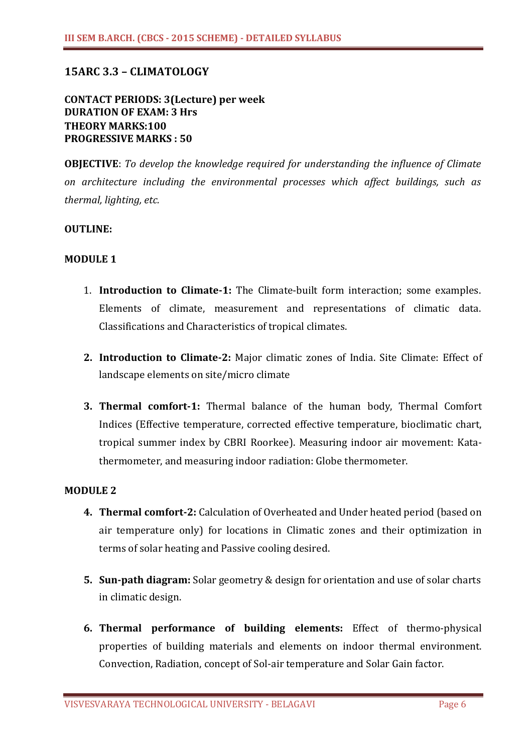# **15ARC 3.3 – CLIMATOLOGY**

## **CONTACT PERIODS: 3(Lecture) per week DURATION OF EXAM: 3 Hrs THEORY MARKS:100 PROGRESSIVE MARKS : 50**

**OBJECTIVE**: *To develop the knowledge required for understanding the influence of Climate on architecture including the environmental processes which affect buildings, such as thermal, lighting, etc.*

#### **OUTLINE:**

#### **MODULE 1**

- 1. **Introduction to Climate-1:** The Climate-built form interaction; some examples. Elements of climate, measurement and representations of climatic data. Classifications and Characteristics of tropical climates.
- **2. Introduction to Climate-2:** Major climatic zones of India. Site Climate: Effect of landscape elements on site/micro climate
- **3. Thermal comfort-1:** Thermal balance of the human body, Thermal Comfort Indices (Effective temperature, corrected effective temperature, bioclimatic chart, tropical summer index by CBRI Roorkee). Measuring indoor air movement: Katathermometer, and measuring indoor radiation: Globe thermometer.

### **MODULE 2**

- **4. Thermal comfort-2:** Calculation of Overheated and Under heated period (based on air temperature only) for locations in Climatic zones and their optimization in terms of solar heating and Passive cooling desired.
- **5. Sun-path diagram:** Solar geometry & design for orientation and use of solar charts in climatic design.
- **6. Thermal performance of building elements:** Effect of thermo-physical properties of building materials and elements on indoor thermal environment. Convection, Radiation, concept of Sol-air temperature and Solar Gain factor.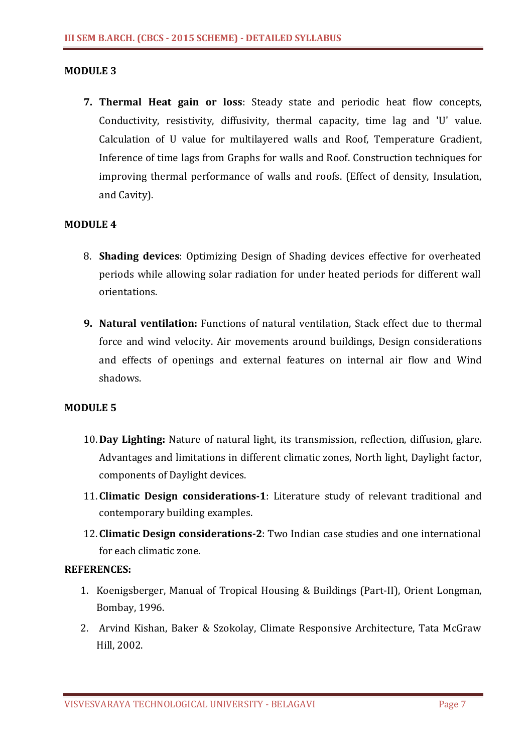### **MODULE 3**

**7. Thermal Heat gain or loss**: Steady state and periodic heat flow concepts, Conductivity, resistivity, diffusivity, thermal capacity, time lag and 'U' value. Calculation of U value for multilayered walls and Roof, Temperature Gradient, Inference of time lags from Graphs for walls and Roof. Construction techniques for improving thermal performance of walls and roofs. (Effect of density, Insulation, and Cavity).

## **MODULE 4**

- 8. **Shading devices**: Optimizing Design of Shading devices effective for overheated periods while allowing solar radiation for under heated periods for different wall orientations.
- **9. Natural ventilation:** Functions of natural ventilation, Stack effect due to thermal force and wind velocity. Air movements around buildings, Design considerations and effects of openings and external features on internal air flow and Wind shadows.

### **MODULE 5**

- 10. **Day Lighting:** Nature of natural light, its transmission, reflection, diffusion, glare. Advantages and limitations in different climatic zones, North light, Daylight factor, components of Daylight devices.
- 11. **Climatic Design considerations-1**: Literature study of relevant traditional and contemporary building examples.
- 12. **Climatic Design considerations-2**: Two Indian case studies and one international for each climatic zone.

- 1. Koenigsberger, Manual of Tropical Housing & Buildings (Part-II), Orient Longman, Bombay, 1996.
- 2. Arvind Kishan, Baker & Szokolay, Climate Responsive Architecture, Tata McGraw Hill, 2002.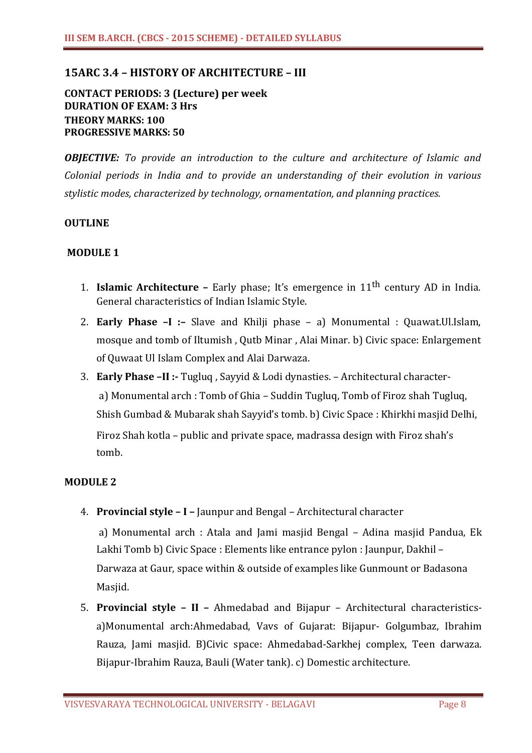# **15ARC 3.4 – HISTORY OF ARCHITECTURE – III**

## **CONTACT PERIODS: 3 (Lecture) per week DURATION OF EXAM: 3 Hrs THEORY MARKS: 100 PROGRESSIVE MARKS: 50**

*OBJECTIVE: To provide an introduction to the culture and architecture of Islamic and Colonial periods in India and to provide an understanding of their evolution in various stylistic modes, characterized by technology, ornamentation, and planning practices.*

### **OUTLINE**

### **MODULE 1**

- 1. **Islamic Architecture** Early phase; It's emergence in 11th century AD in India. General characteristics of Indian Islamic Style.
- 2. **Early Phase –I :–** Slave and Khilji phase a) Monumental : Quawat.Ul.Islam, mosque and tomb of Iltumish , Qutb Minar , Alai Minar. b) Civic space: Enlargement of Quwaat Ul Islam Complex and Alai Darwaza.
- 3. **Early Phase –II :-** Tugluq , Sayyid & Lodi dynasties. Architectural charactera) Monumental arch : Tomb of Ghia – Suddin Tugluq, Tomb of Firoz shah Tugluq, Shish Gumbad & Mubarak shah Sayyid's tomb. b) Civic Space : Khirkhi masjid Delhi, Firoz Shah kotla – public and private space, madrassa design with Firoz shah's tomb.

### **MODULE 2**

4. **Provincial style – I –** Jaunpur and Bengal – Architectural character

a) Monumental arch : Atala and Jami masjid Bengal – Adina masjid Pandua, Ek Lakhi Tomb b) Civic Space : Elements like entrance pylon : Jaunpur, Dakhil – Darwaza at Gaur, space within & outside of examples like Gunmount or Badasona Masjid.

5. **Provincial style – II –** Ahmedabad and Bijapur – Architectural characteristicsa)Monumental arch:Ahmedabad, Vavs of Gujarat: Bijapur- Golgumbaz, Ibrahim Rauza, Jami masjid. B)Civic space: Ahmedabad-Sarkhej complex, Teen darwaza. Bijapur-Ibrahim Rauza, Bauli (Water tank). c) Domestic architecture.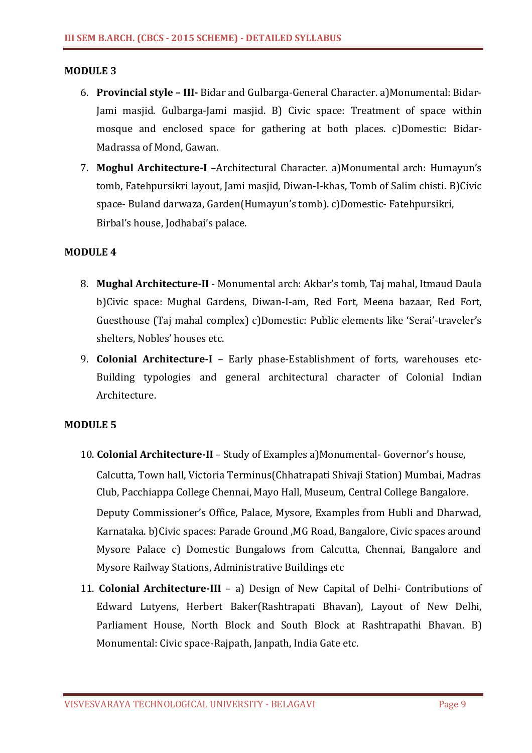### **MODULE 3**

- 6. **Provincial style III-** Bidar and Gulbarga-General Character. a)Monumental: Bidar-Jami masjid. Gulbarga-Jami masjid. B) Civic space: Treatment of space within mosque and enclosed space for gathering at both places. c)Domestic: Bidar-Madrassa of Mond, Gawan.
- 7. **Moghul Architecture-I** –Architectural Character. a)Monumental arch: Humayun's tomb, Fatehpursikri layout, Jami masjid, Diwan-I-khas, Tomb of Salim chisti. B)Civic space- Buland darwaza, Garden(Humayun's tomb). c)Domestic- Fatehpursikri, Birbal's house, Jodhabai's palace.

### **MODULE 4**

- 8. **Mughal Architecture-II**  Monumental arch: Akbar's tomb, Taj mahal, Itmaud Daula b)Civic space: Mughal Gardens, Diwan-I-am, Red Fort, Meena bazaar, Red Fort, Guesthouse (Taj mahal complex) c)Domestic: Public elements like 'Serai'-traveler's shelters, Nobles' houses etc.
- 9. **Colonial Architecture-I**  Early phase-Establishment of forts, warehouses etc-Building typologies and general architectural character of Colonial Indian Architecture.

### **MODULE 5**

- 10. **Colonial Architecture-II** Study of Examples a)Monumental- Governor's house, Calcutta, Town hall, Victoria Terminus(Chhatrapati Shivaji Station) Mumbai, Madras Club, Pacchiappa College Chennai, Mayo Hall, Museum, Central College Bangalore. Deputy Commissioner's Office, Palace, Mysore, Examples from Hubli and Dharwad, Karnataka. b)Civic spaces: Parade Ground ,MG Road, Bangalore, Civic spaces around Mysore Palace c) Domestic Bungalows from Calcutta, Chennai, Bangalore and Mysore Railway Stations, Administrative Buildings etc
- 11. **Colonial Architecture-III** a) Design of New Capital of Delhi- Contributions of Edward Lutyens, Herbert Baker(Rashtrapati Bhavan), Layout of New Delhi, Parliament House, North Block and South Block at Rashtrapathi Bhavan. B) Monumental: Civic space-Rajpath, Janpath, India Gate etc.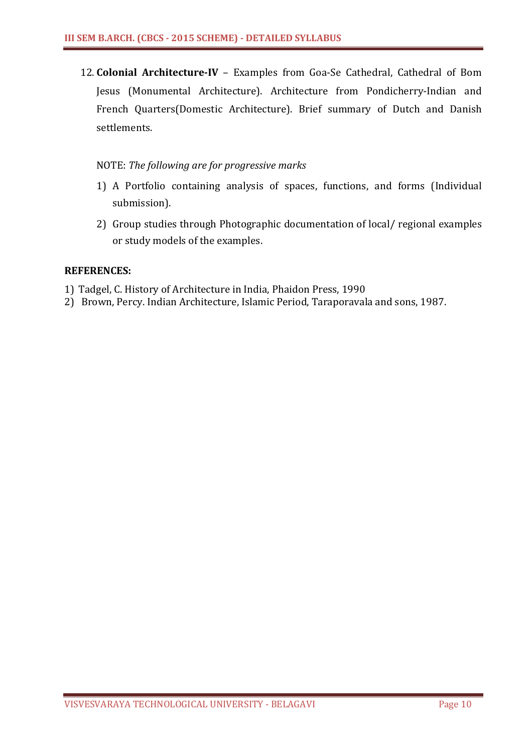12. **Colonial Architecture-IV** – Examples from Goa-Se Cathedral, Cathedral of Bom Jesus (Monumental Architecture). Architecture from Pondicherry-Indian and French Quarters(Domestic Architecture). Brief summary of Dutch and Danish settlements.

## NOTE: *The following are for progressive marks*

- 1) A Portfolio containing analysis of spaces, functions, and forms (Individual submission).
- 2) Group studies through Photographic documentation of local/ regional examples or study models of the examples.

- 1) Tadgel, C. History of Architecture in India, Phaidon Press, 1990
- 2) Brown, Percy. Indian Architecture, Islamic Period, Taraporavala and sons, 1987.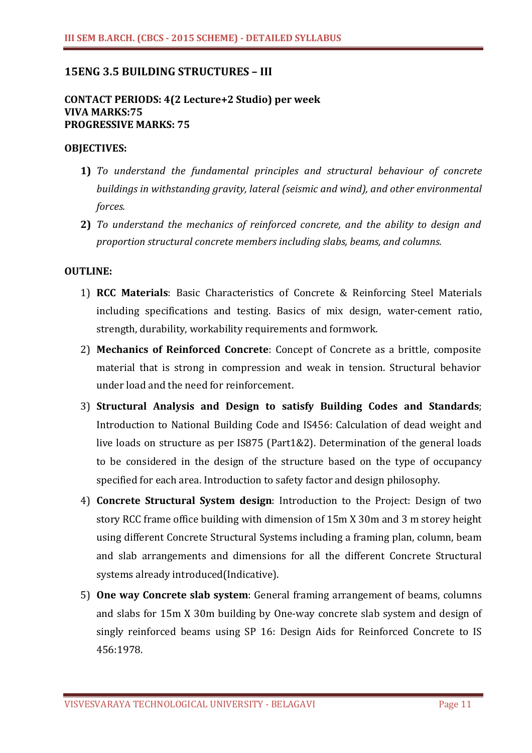# **15ENG 3.5 BUILDING STRUCTURES – III**

### **CONTACT PERIODS: 4(2 Lecture+2 Studio) per week VIVA MARKS:75 PROGRESSIVE MARKS: 75**

#### **OBJECTIVES:**

- **1)** *To understand the fundamental principles and structural behaviour of concrete buildings in withstanding gravity, lateral (seismic and wind), and other environmental forces.*
- **2)** *To understand the mechanics of reinforced concrete, and the ability to design and proportion structural concrete members including slabs, beams, and columns.*

### **OUTLINE:**

- 1) **RCC Materials**: Basic Characteristics of Concrete & Reinforcing Steel Materials including specifications and testing. Basics of mix design, water-cement ratio, strength, durability, workability requirements and formwork.
- 2) **Mechanics of Reinforced Concrete**: Concept of Concrete as a brittle, composite material that is strong in compression and weak in tension. Structural behavior under load and the need for reinforcement.
- 3) **Structural Analysis and Design to satisfy Building Codes and Standards**; Introduction to National Building Code and IS456: Calculation of dead weight and live loads on structure as per IS875 (Part1&2). Determination of the general loads to be considered in the design of the structure based on the type of occupancy specified for each area. Introduction to safety factor and design philosophy.
- 4) **Concrete Structural System design**: Introduction to the Project: Design of two story RCC frame office building with dimension of 15m X 30m and 3 m storey height using different Concrete Structural Systems including a framing plan, column, beam and slab arrangements and dimensions for all the different Concrete Structural systems already introduced(Indicative).
- 5) **One way Concrete slab system**: General framing arrangement of beams, columns and slabs for 15m X 30m building by One-way concrete slab system and design of singly reinforced beams using SP 16: Design Aids for Reinforced Concrete to IS 456:1978.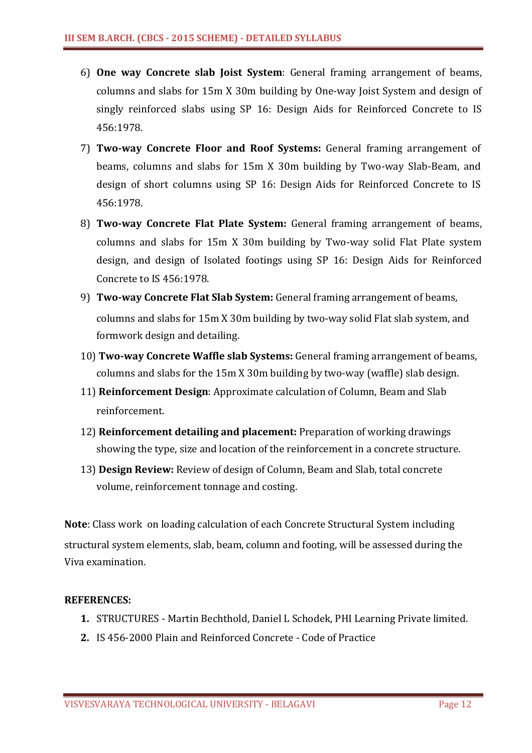- 6) **One way Concrete slab Joist System**: General framing arrangement of beams, columns and slabs for 15m X 30m building by One-way Joist System and design of singly reinforced slabs using SP 16: Design Aids for Reinforced Concrete to IS 456:1978.
- 7) **Two-way Concrete Floor and Roof Systems:** General framing arrangement of beams, columns and slabs for 15m X 30m building by Two-way Slab-Beam, and design of short columns using SP 16: Design Aids for Reinforced Concrete to IS 456:1978.
- 8) **Two-way Concrete Flat Plate System:** General framing arrangement of beams, columns and slabs for 15m X 30m building by Two-way solid Flat Plate system design, and design of Isolated footings using SP 16: Design Aids for Reinforced Concrete to IS 456:1978.
- 9) **Two-way Concrete Flat Slab System:** General framing arrangement of beams, columns and slabs for 15m X 30m building by two-way solid Flat slab system, and formwork design and detailing.
- 10) **Two-way Concrete Waffle slab Systems:** General framing arrangement of beams, columns and slabs for the 15m X 30m building by two-way (waffle) slab design.
- 11) **Reinforcement Design**: Approximate calculation of Column, Beam and Slab reinforcement.
- 12) **Reinforcement detailing and placement:** Preparation of working drawings showing the type, size and location of the reinforcement in a concrete structure.
- 13) **Design Review:** Review of design of Column, Beam and Slab, total concrete volume, reinforcement tonnage and costing.

**Note**: Class work on loading calculation of each Concrete Structural System including structural system elements, slab, beam, column and footing, will be assessed during the Viva examination.

- **1.** STRUCTURES Martin Bechthold, Daniel L Schodek, PHI Learning Private limited.
- **2.** IS 456-2000 Plain and Reinforced Concrete Code of Practice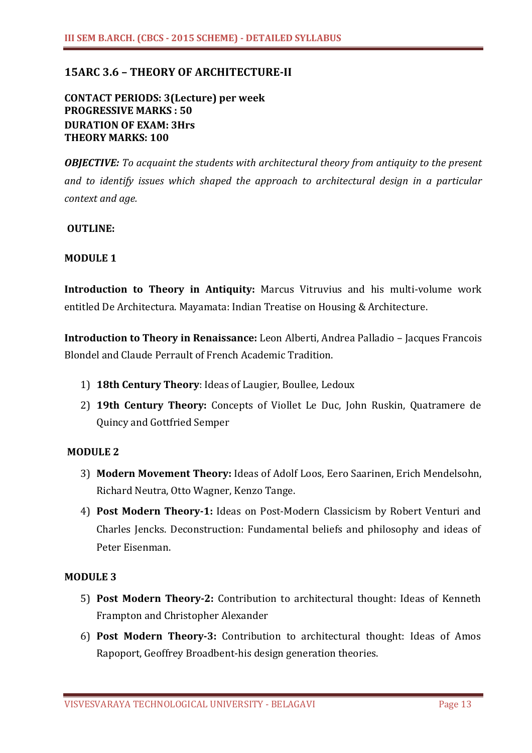# **15ARC 3.6 – THEORY OF ARCHITECTURE-II**

# **CONTACT PERIODS: 3(Lecture) per week PROGRESSIVE MARKS : 50 DURATION OF EXAM: 3Hrs THEORY MARKS: 100**

*OBJECTIVE: To acquaint the students with architectural theory from antiquity to the present and to identify issues which shaped the approach to architectural design in a particular context and age.*

### **OUTLINE:**

### **MODULE 1**

**Introduction to Theory in Antiquity:** Marcus Vitruvius and his multi-volume work entitled De Architectura. Mayamata: Indian Treatise on Housing & Architecture.

**Introduction to Theory in Renaissance:** Leon Alberti, Andrea Palladio – Jacques Francois Blondel and Claude Perrault of French Academic Tradition.

- 1) **18th Century Theory**: Ideas of Laugier, Boullee, Ledoux
- 2) **19th Century Theory:** Concepts of Viollet Le Duc, John Ruskin, Quatramere de Quincy and Gottfried Semper

### **MODULE 2**

- 3) **Modern Movement Theory:** Ideas of Adolf Loos, Eero Saarinen, Erich Mendelsohn, Richard Neutra, Otto Wagner, Kenzo Tange.
- 4) **Post Modern Theory-1:** Ideas on Post-Modern Classicism by Robert Venturi and Charles Jencks. Deconstruction: Fundamental beliefs and philosophy and ideas of Peter Eisenman.

#### **MODULE 3**

- 5) **Post Modern Theory-2:** Contribution to architectural thought: Ideas of Kenneth Frampton and Christopher Alexander
- 6) **Post Modern Theory-3:** Contribution to architectural thought: Ideas of Amos Rapoport, Geoffrey Broadbent-his design generation theories.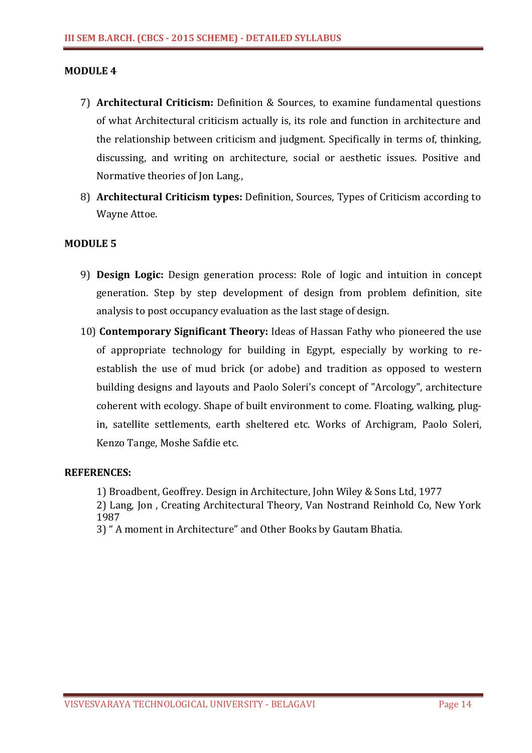### **MODULE 4**

- 7) **Architectural Criticism:** Definition & Sources, to examine fundamental questions of what Architectural criticism actually is, its role and function in architecture and the relationship between criticism and judgment. Specifically in terms of, thinking, discussing, and writing on architecture, social or aesthetic issues. Positive and Normative theories of Jon Lang.,
- 8) **Architectural Criticism types:** Definition, Sources, Types of Criticism according to Wayne Attoe.

### **MODULE 5**

- 9) **Design Logic:** Design generation process: Role of logic and intuition in concept generation. Step by step development of design from problem definition, site analysis to post occupancy evaluation as the last stage of design.
- 10) **Contemporary Significant Theory:** Ideas of Hassan Fathy who pioneered the use of appropriate technology for building in Egypt, especially by working to reestablish the use of mud brick (or adobe) and tradition as opposed to western building designs and layouts and Paolo Soleri's concept of "Arcology", architecture coherent with ecology. Shape of built environment to come. Floating, walking, plugin, satellite settlements, earth sheltered etc. Works of Archigram, Paolo Soleri, Kenzo Tange, Moshe Safdie etc.

### **REFERENCES:**

1) Broadbent, Geoffrey. Design in Architecture, John Wiley & Sons Ltd, 1977

2) Lang, Jon , Creating Architectural Theory, Van Nostrand Reinhold Co, New York 1987

3) " A moment in Architecture" and Other Books by Gautam Bhatia.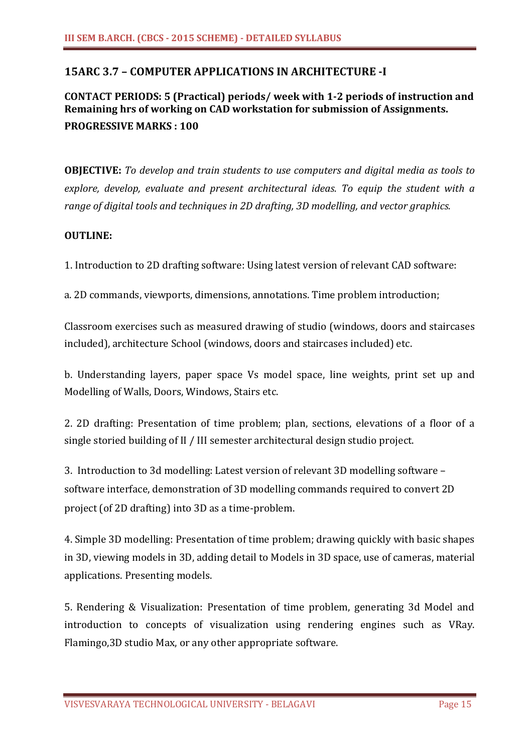# **15ARC 3.7 – COMPUTER APPLICATIONS IN ARCHITECTURE -I**

# **CONTACT PERIODS: 5 (Practical) periods/ week with 1-2 periods of instruction and Remaining hrs of working on CAD workstation for submission of Assignments. PROGRESSIVE MARKS : 100**

**OBJECTIVE:** *To develop and train students to use computers and digital media as tools to explore, develop, evaluate and present architectural ideas. To equip the student with a range of digital tools and techniques in 2D drafting, 3D modelling, and vector graphics.*

### **OUTLINE:**

1. Introduction to 2D drafting software: Using latest version of relevant CAD software:

a. 2D commands, viewports, dimensions, annotations. Time problem introduction;

Classroom exercises such as measured drawing of studio (windows, doors and staircases included), architecture School (windows, doors and staircases included) etc.

b. Understanding layers, paper space Vs model space, line weights, print set up and Modelling of Walls, Doors, Windows, Stairs etc.

2. 2D drafting: Presentation of time problem; plan, sections, elevations of a floor of a single storied building of II / III semester architectural design studio project.

3. Introduction to 3d modelling: Latest version of relevant 3D modelling software – software interface, demonstration of 3D modelling commands required to convert 2D project (of 2D drafting) into 3D as a time-problem.

4. Simple 3D modelling: Presentation of time problem; drawing quickly with basic shapes in 3D, viewing models in 3D, adding detail to Models in 3D space, use of cameras, material applications. Presenting models.

5. Rendering & Visualization: Presentation of time problem, generating 3d Model and introduction to concepts of visualization using rendering engines such as VRay. Flamingo,3D studio Max, or any other appropriate software.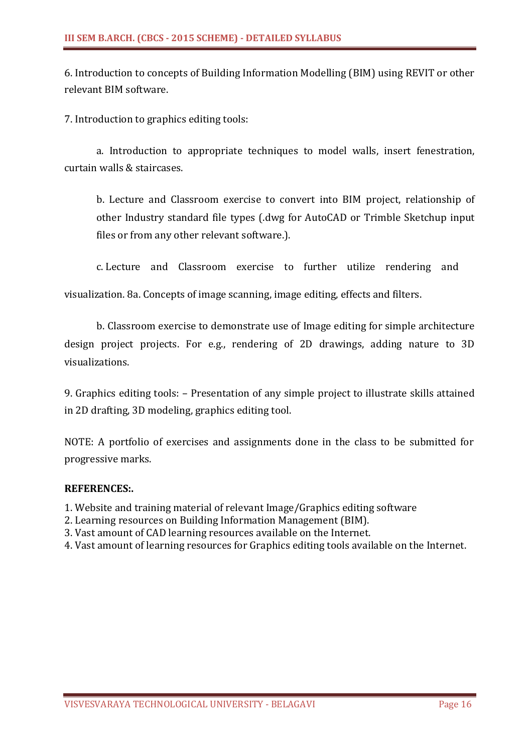6. Introduction to concepts of Building Information Modelling (BIM) using REVIT or other relevant BIM software.

7. Introduction to graphics editing tools:

a. Introduction to appropriate techniques to model walls, insert fenestration, curtain walls & staircases.

b. Lecture and Classroom exercise to convert into BIM project, relationship of other Industry standard file types (.dwg for AutoCAD or Trimble Sketchup input files or from any other relevant software.).

c. Lecture and Classroom exercise to further utilize rendering and

visualization. 8a. Concepts of image scanning, image editing, effects and filters.

b. Classroom exercise to demonstrate use of Image editing for simple architecture design project projects. For e.g., rendering of 2D drawings, adding nature to 3D visualizations.

9. Graphics editing tools: – Presentation of any simple project to illustrate skills attained in 2D drafting, 3D modeling, graphics editing tool.

NOTE: A portfolio of exercises and assignments done in the class to be submitted for progressive marks.

## **REFERENCES:.**

1. Website and training material of relevant Image/Graphics editing software

- 2. Learning resources on Building Information Management (BIM).
- 3. Vast amount of CAD learning resources available on the Internet.
- 4. Vast amount of learning resources for Graphics editing tools available on the Internet.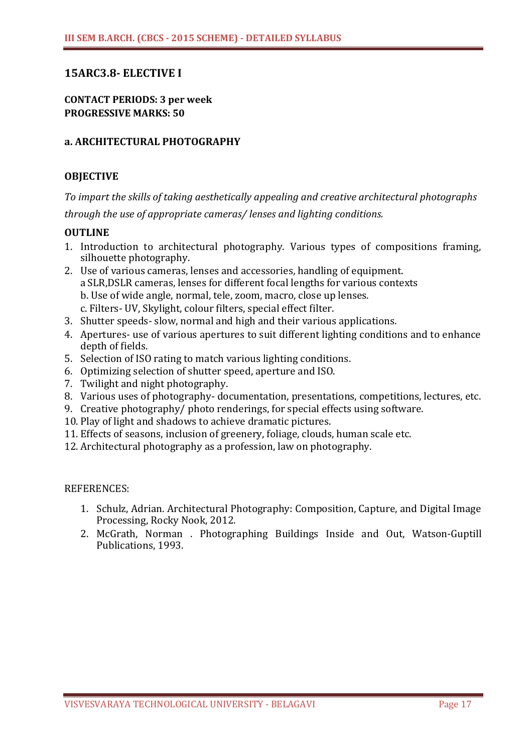# **15ARC3.8- ELECTIVE I**

**CONTACT PERIODS: 3 per week PROGRESSIVE MARKS: 50**

### **a. ARCHITECTURAL PHOTOGRAPHY**

### **OBJECTIVE**

*To impart the skills of taking aesthetically appealing and creative architectural photographs through the use of appropriate cameras/ lenses and lighting conditions.*

### **OUTLINE**

- 1. Introduction to architectural photography. Various types of compositions framing, silhouette photography.
- 2. Use of various cameras, lenses and accessories, handling of equipment. aSLR,DSLR cameras, lenses for different focal lengths for various contexts b. Use of wide angle, normal, tele, zoom, macro, close up lenses. c. Filters- UV, Skylight, colour filters, special effect filter.
- 3. Shutter speeds- slow, normal and high and their various applications.
- 4. Apertures- use of various apertures to suit different lighting conditions and to enhance depth of fields.
- 5. Selection of ISO rating to match various lighting conditions.
- 6. Optimizing selection of shutter speed, aperture and ISO.
- 7. Twilight and night photography.
- 8. Various uses of photography- documentation, presentations, competitions, lectures, etc.
- 9. Creative photography/ photo renderings, for special effects using software.
- 10. Play of light and shadows to achieve dramatic pictures.
- 11. Effects of seasons, inclusion of greenery, foliage, clouds, human scale etc.
- 12. Architectural photography as a profession, law on photography.

- 1. Schulz, Adrian. Architectural Photography: Composition, Capture, and Digital Image Processing, Rocky Nook, 2012.
- 2. McGrath, Norman . Photographing Buildings Inside and Out, Watson-Guptill Publications, 1993.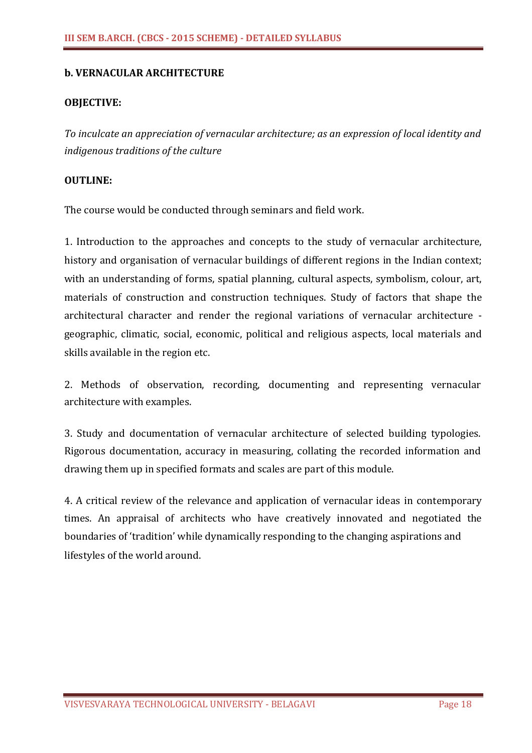## **b. VERNACULAR ARCHITECTURE**

### **OBJECTIVE:**

*To inculcate an appreciation of vernacular architecture; as an expression of local identity and indigenous traditions of the culture*

#### **OUTLINE:**

The course would be conducted through seminars and field work.

1. Introduction to the approaches and concepts to the study of vernacular architecture, history and organisation of vernacular buildings of different regions in the Indian context; with an understanding of forms, spatial planning, cultural aspects, symbolism, colour, art, materials of construction and construction techniques. Study of factors that shape the architectural character and render the regional variations of vernacular architecture geographic, climatic, social, economic, political and religious aspects, local materials and skills available in the region etc.

2. Methods of observation, recording, documenting and representing vernacular architecture with examples.

3. Study and documentation of vernacular architecture of selected building typologies. Rigorous documentation, accuracy in measuring, collating the recorded information and drawing them up in specified formats and scales are part of this module.

4. A critical review of the relevance and application of vernacular ideas in contemporary times. An appraisal of architects who have creatively innovated and negotiated the boundaries of 'tradition' while dynamically responding to the changing aspirations and lifestyles of the world around.